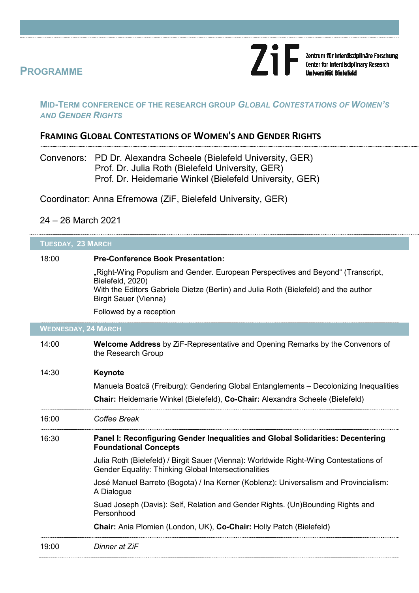## **PROGRAMME**

### **MID-TERM CONFERENCE OF THE RESEARCH GROUP** *GLOBAL CONTESTATIONS OF WOMEN'S AND GENDER RIGHTS*

**ZiF** 

Zentrum für interdisziplinäre Forschung<br>Center for Interdisciplinary Research

ersität Bielefeld

## **FRAMING GLOBAL CONTESTATIONS OF WOMEN'S AND GENDER RIGHTS**

Convenors: PD Dr. Alexandra Scheele (Bielefeld University, GER) Prof. Dr. Julia Roth (Bielefeld University, GER) Prof. Dr. Heidemarie Winkel (Bielefeld University, GER)

Coordinator: Anna Efremowa (ZiF, Bielefeld University, GER)

#### 24 – 26 March 2021

| <b>TUESDAY, 23 MARCH</b>   |                                                                                                                                                                                            |  |
|----------------------------|--------------------------------------------------------------------------------------------------------------------------------------------------------------------------------------------|--|
| 18:00                      | <b>Pre-Conference Book Presentation:</b>                                                                                                                                                   |  |
|                            | "Right-Wing Populism and Gender. European Perspectives and Beyond" (Transcript,<br>Bielefeld, 2020)<br>With the Editors Gabriele Dietze (Berlin) and Julia Roth (Bielefeld) and the author |  |
|                            | <b>Birgit Sauer (Vienna)</b>                                                                                                                                                               |  |
|                            | Followed by a reception                                                                                                                                                                    |  |
| <b>WEDNESDAY, 24 MARCH</b> |                                                                                                                                                                                            |  |
| 14:00                      | <b>Welcome Address</b> by ZiF-Representative and Opening Remarks by the Convenors of<br>the Research Group                                                                                 |  |
| 14:30                      | Keynote                                                                                                                                                                                    |  |
|                            | Manuela Boatcă (Freiburg): Gendering Global Entanglements – Decolonizing Inequalities                                                                                                      |  |
|                            | Chair: Heidemarie Winkel (Bielefeld), Co-Chair: Alexandra Scheele (Bielefeld)                                                                                                              |  |
| 16:00                      | Coffee Break                                                                                                                                                                               |  |
| 16:30                      | Panel I: Reconfiguring Gender Inequalities and Global Solidarities: Decentering<br><b>Foundational Concepts</b>                                                                            |  |
|                            | Julia Roth (Bielefeld) / Birgit Sauer (Vienna): Worldwide Right-Wing Contestations of<br><b>Gender Equality: Thinking Global Intersectionalities</b>                                       |  |
|                            | José Manuel Barreto (Bogota) / Ina Kerner (Koblenz): Universalism and Provincialism:<br>A Dialogue                                                                                         |  |
|                            | Suad Joseph (Davis): Self, Relation and Gender Rights. (Un)Bounding Rights and<br>Personhood                                                                                               |  |
|                            | Chair: Ania Plomien (London, UK), Co-Chair: Holly Patch (Bielefeld)                                                                                                                        |  |
| 19:00                      | Dinner at ZiF                                                                                                                                                                              |  |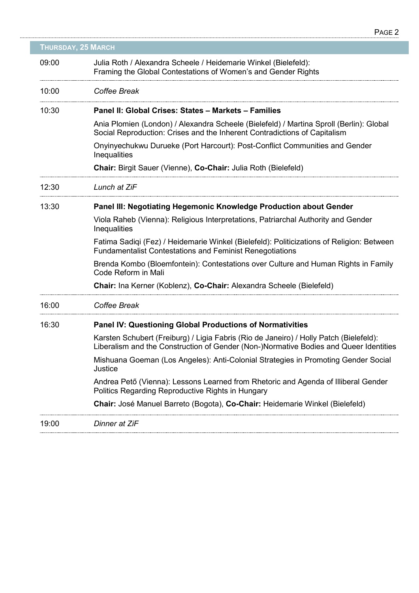| <b>THURSDAY, 25 MARCH</b> |                                                                                                                                                                                 |  |
|---------------------------|---------------------------------------------------------------------------------------------------------------------------------------------------------------------------------|--|
| 09:00                     | Julia Roth / Alexandra Scheele / Heidemarie Winkel (Bielefeld):<br>Framing the Global Contestations of Women's and Gender Rights                                                |  |
| 10:00                     | Coffee Break                                                                                                                                                                    |  |
| 10:30                     | Panel II: Global Crises: States - Markets - Families                                                                                                                            |  |
|                           | Ania Plomien (London) / Alexandra Scheele (Bielefeld) / Martina Sproll (Berlin): Global<br>Social Reproduction: Crises and the Inherent Contradictions of Capitalism            |  |
|                           | Onyinyechukwu Durueke (Port Harcourt): Post-Conflict Communities and Gender<br>Inequalities                                                                                     |  |
|                           | <b>Chair: Birgit Sauer (Vienne), Co-Chair: Julia Roth (Bielefeld)</b>                                                                                                           |  |
| 12:30                     | Lunch at ZiF                                                                                                                                                                    |  |
| 13:30                     | <b>Panel III: Negotiating Hegemonic Knowledge Production about Gender</b>                                                                                                       |  |
|                           | Viola Raheb (Vienna): Religious Interpretations, Patriarchal Authority and Gender<br>Inequalities                                                                               |  |
|                           | Fatima Sadiqi (Fez) / Heidemarie Winkel (Bielefeld): Politicizations of Religion: Between<br><b>Fundamentalist Contestations and Feminist Renegotiations</b>                    |  |
|                           | Brenda Kombo (Bloemfontein): Contestations over Culture and Human Rights in Family<br>Code Reform in Mali                                                                       |  |
|                           | Chair: Ina Kerner (Koblenz), Co-Chair: Alexandra Scheele (Bielefeld)                                                                                                            |  |
| 16:00                     | Coffee Break                                                                                                                                                                    |  |
| 16:30                     | <b>Panel IV: Questioning Global Productions of Normativities</b>                                                                                                                |  |
|                           | Karsten Schubert (Freiburg) / Ligia Fabris (Rio de Janeiro) / Holly Patch (Bielefeld):<br>Liberalism and the Construction of Gender (Non-)Normative Bodies and Queer Identities |  |
|                           | Mishuana Goeman (Los Angeles): Anti-Colonial Strategies in Promoting Gender Social<br>Justice                                                                                   |  |
|                           | Andrea Pető (Vienna): Lessons Learned from Rhetoric and Agenda of Illiberal Gender<br>Politics Regarding Reproductive Rights in Hungary                                         |  |
|                           | Chair: José Manuel Barreto (Bogota), Co-Chair: Heidemarie Winkel (Bielefeld)                                                                                                    |  |
| 19:00                     | Dinner at ZiF                                                                                                                                                                   |  |